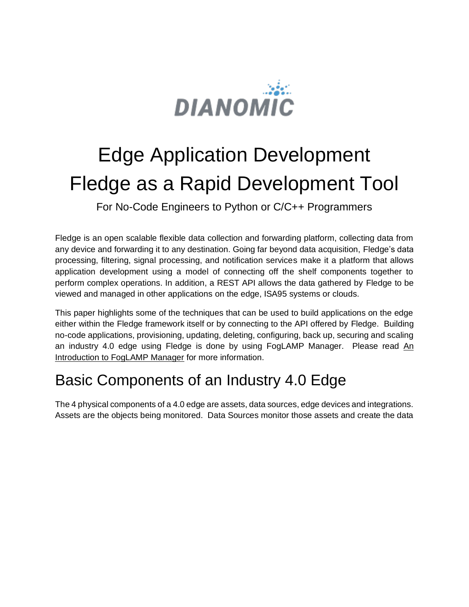

# Edge Application Development Fledge as a Rapid Development Tool

For No-Code Engineers to Python or C/C++ Programmers

Fledge is an open scalable flexible data collection and forwarding platform, collecting data from any device and forwarding it to any destination. Going far beyond data acquisition, Fledge's data processing, filtering, signal processing, and notification services make it a platform that allows application development using a model of connecting off the shelf components together to perform complex operations. In addition, a REST API allows the data gathered by Fledge to be viewed and managed in other applications on the edge, ISA95 systems or clouds.

This paper highlights some of the techniques that can be used to build applications on the edge either within the Fledge framework itself or by connecting to the API offered by Fledge. Building no-code applications, provisioning, updating, deleting, configuring, back up, securing and scaling an industry 4.0 edge using Fledge is done by using FogLAMP Manager. Please read An Introduction to FogLAMP Manager for more information.

# Basic Components of an Industry 4.0 Edge

The 4 physical components of a 4.0 edge are assets, data sources, edge devices and integrations. Assets are the objects being monitored. Data Sources monitor those assets and create the data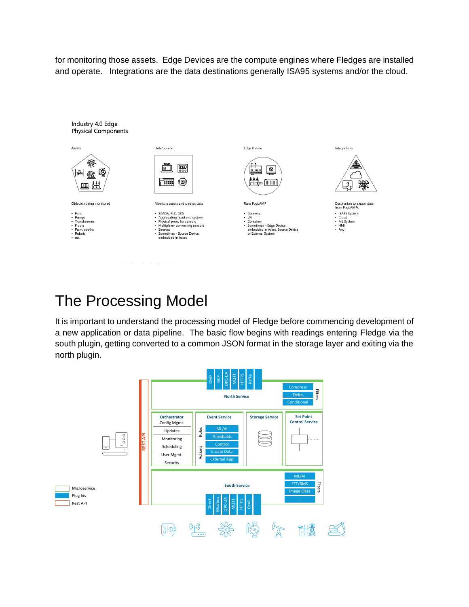for monitoring those assets. Edge Devices are the compute engines where Fledges are installed and operate. Integrations are the data destinations generally ISA95 systems and/or the cloud.



# The Processing Model

It is important to understand the processing model of Fledge before commencing development of a new application or data pipeline. The basic flow begins with readings entering Fledge via the south plugin, getting converted to a common JSON format in the storage layer and exiting via the north plugin.

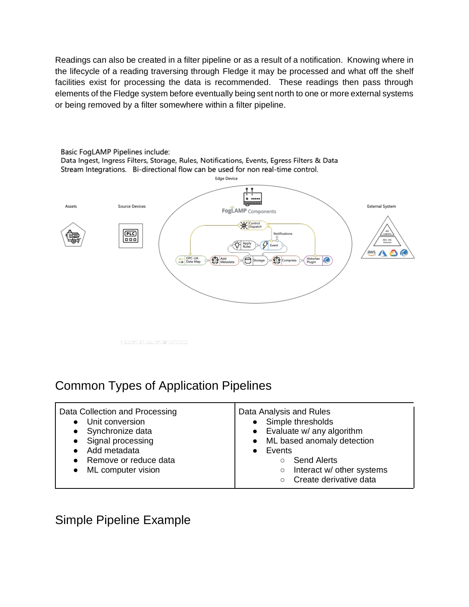Readings can also be created in a filter pipeline or as a result of a notification. Knowing where in the lifecycle of a reading traversing through Fledge it may be processed and what off the shelf facilities exist for processing the data is recommended. These readings then pass through elements of the Fledge system before eventually being sent north to one or more external systems or being removed by a filter somewhere within a filter pipeline.



### Common Types of Application Pipelines

| Data Collection and Processing<br>Unit conversion<br>Synchronize data<br>Signal processing<br>$\bullet$<br>Add metadata<br>Remove or reduce data<br>ML computer vision | Data Analysis and Rules<br>• Simple thresholds<br>Evaluate w/ any algorithm<br>$\bullet$<br>ML based anomaly detection<br>$\bullet$<br>Events<br><b>Send Alerts</b><br>$\circ$<br>Interact w/ other systems<br>$\circlearrowright$<br>Create derivative data |
|------------------------------------------------------------------------------------------------------------------------------------------------------------------------|--------------------------------------------------------------------------------------------------------------------------------------------------------------------------------------------------------------------------------------------------------------|
|------------------------------------------------------------------------------------------------------------------------------------------------------------------------|--------------------------------------------------------------------------------------------------------------------------------------------------------------------------------------------------------------------------------------------------------------|

Simple Pipeline Example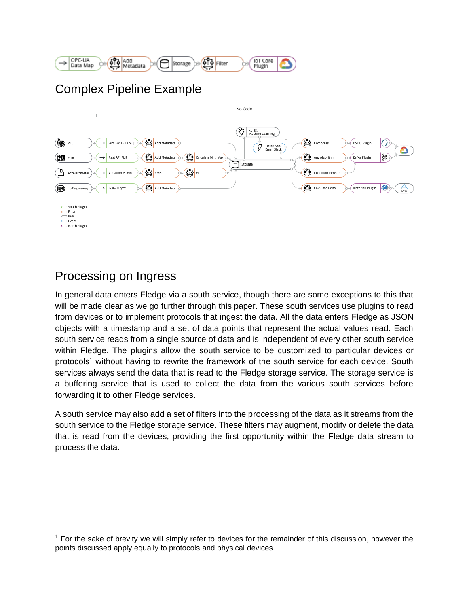

### Complex Pipeline Example



### Processing on Ingress

In general data enters Fledge via a south service, though there are some exceptions to this that will be made clear as we go further through this paper. These south services use plugins to read from devices or to implement protocols that ingest the data. All the data enters Fledge as JSON objects with a timestamp and a set of data points that represent the actual values read. Each south service reads from a single source of data and is independent of every other south service within Fledge. The plugins allow the south service to be customized to particular devices or protocols<sup>1</sup> without having to rewrite the framework of the south service for each device. South services always send the data that is read to the Fledge storage service. The storage service is a buffering service that is used to collect the data from the various south services before forwarding it to other Fledge services.

A south service may also add a set of filters into the processing of the data as it streams from the south service to the Fledge storage service. These filters may augment, modify or delete the data that is read from the devices, providing the first opportunity within the Fledge data stream to process the data.

 $<sup>1</sup>$  For the sake of brevity we will simply refer to devices for the remainder of this discussion, however the</sup> points discussed apply equally to protocols and physical devices.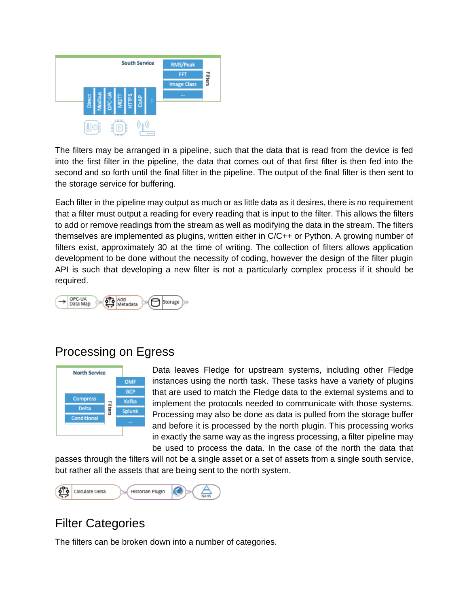

The filters may be arranged in a pipeline, such that the data that is read from the device is fed into the first filter in the pipeline, the data that comes out of that first filter is then fed into the second and so forth until the final filter in the pipeline. The output of the final filter is then sent to the storage service for buffering.

Each filter in the pipeline may output as much or as little data as it desires, there is no requirement that a filter must output a reading for every reading that is input to the filter. This allows the filters to add or remove readings from the stream as well as modifying the data in the stream. The filters themselves are implemented as plugins, written either in C/C++ or Python. A growing number of filters exist, approximately 30 at the time of writing. The collection of filters allows application development to be done without the necessity of coding, however the design of the filter plugin API is such that developing a new filter is not a particularly complex process if it should be required.



### Processing on Egress



Data leaves Fledge for upstream systems, including other Fledge instances using the north task. These tasks have a variety of plugins that are used to match the Fledge data to the external systems and to implement the protocols needed to communicate with those systems. Processing may also be done as data is pulled from the storage buffer and before it is processed by the north plugin. This processing works in exactly the same way as the ingress processing, a filter pipeline may be used to process the data. In the case of the north the data that

passes through the filters will not be a single asset or a set of assets from a single south service, but rather all the assets that are being sent to the north system.



### Filter Categories

The filters can be broken down into a number of categories.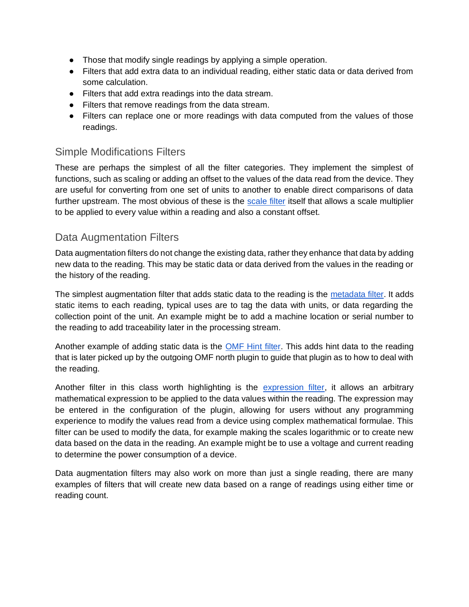- Those that modify single readings by applying a simple operation.
- Filters that add extra data to an individual reading, either static data or data derived from some calculation.
- Filters that add extra readings into the data stream.
- Filters that remove readings from the data stream.
- Filters can replace one or more readings with data computed from the values of those readings.

#### Simple Modifications Filters

These are perhaps the simplest of all the filter categories. They implement the simplest of functions, such as scaling or adding an offset to the values of the data read from the device. They are useful for converting from one set of units to another to enable direct comparisons of data further upstream. The most obvious of these is the [scale filter](https://fledge-iot.readthedocs.io/en/develop/plugins/fledge-filter-scale/index.html) itself that allows a scale multiplier to be applied to every value within a reading and also a constant offset.

#### Data Augmentation Filters

Data augmentation filters do not change the existing data, rather they enhance that data by adding new data to the reading. This may be static data or data derived from the values in the reading or the history of the reading.

The simplest augmentation filter that adds static data to the reading is the [metadata filter.](https://fledge-iot.readthedocs.io/en/develop/plugins/fledge-filter-metadata/index.html) It adds static items to each reading, typical uses are to tag the data with units, or data regarding the collection point of the unit. An example might be to add a machine location or serial number to the reading to add traceability later in the processing stream.

Another example of adding static data is the [OMF Hint filter.](https://fledge-iot.readthedocs.io/en/develop/plugins/fledge-filter-omfhint/index.html) This adds hint data to the reading that is later picked up by the outgoing OMF north plugin to guide that plugin as to how to deal with the reading.

Another filter in this class worth highlighting is the [expression filter,](https://fledge-iot.readthedocs.io/en/develop/plugins/fledge-filter-expression/index.html) it allows an arbitrary mathematical expression to be applied to the data values within the reading. The expression may be entered in the configuration of the plugin, allowing for users without any programming experience to modify the values read from a device using complex mathematical formulae. This filter can be used to modify the data, for example making the scales logarithmic or to create new data based on the data in the reading. An example might be to use a voltage and current reading to determine the power consumption of a device.

Data augmentation filters may also work on more than just a single reading, there are many examples of filters that will create new data based on a range of readings using either time or reading count.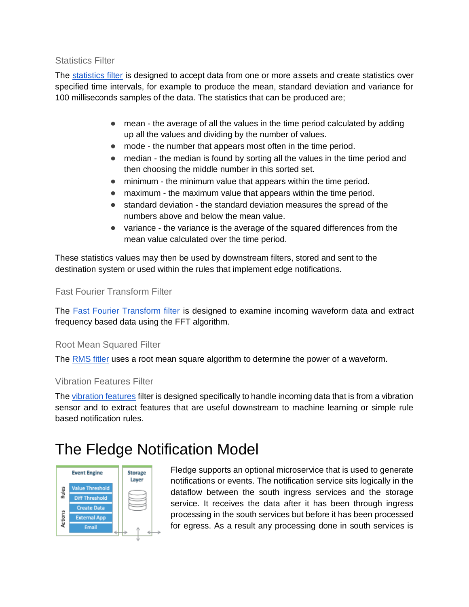#### Statistics Filter

The [statistics filter](https://foglamp.readthedocs.io/en/nightly/plugins/foglamp-filter-statistics/index.html) is designed to accept data from one or more assets and create statistics over specified time intervals, for example to produce the mean, standard deviation and variance for 100 milliseconds samples of the data. The statistics that can be produced are;

- mean the average of all the values in the time period calculated by adding up all the values and dividing by the number of values.
- mode the number that appears most often in the time period.
- median the median is found by sorting all the values in the time period and then choosing the middle number in this sorted set.
- minimum the minimum value that appears within the time period.
- maximum the maximum value that appears within the time period.
- standard deviation the standard deviation measures the spread of the numbers above and below the mean value.
- variance the variance is the average of the squared differences from the mean value calculated over the time period.

These statistics values may then be used by downstream filters, stored and sent to the destination system or used within the rules that implement edge notifications.

#### Fast Fourier Transform Filter

The [Fast Fourier Transform filter](https://foglamp.readthedocs.io/en/nightly/plugins/foglamp-filter-fft/index.html) is designed to examine incoming waveform data and extract frequency based data using the FFT algorithm.

#### Root Mean Squared Filter

The [RMS fitler](https://fledge-iot.readthedocs.io/en/develop/plugins/fledge-filter-rms/index.html) uses a root mean square algorithm to determine the power of a waveform.

#### Vibration Features Filter

Th[e vibration features](https://foglamp.readthedocs.io/en/nightly/plugins/rule.html) filter is designed specifically to handle incoming data that is from a vibration sensor and to extract features that are useful downstream to machine learning or simple rule based notification rules.

# The Fledge Notification Model



Fledge supports an optional microservice that is used to generate notifications or events. The notification service sits logically in the dataflow between the south ingress services and the storage service. It receives the data after it has been through ingress processing in the south services but before it has been processed for egress. As a result any processing done in south services is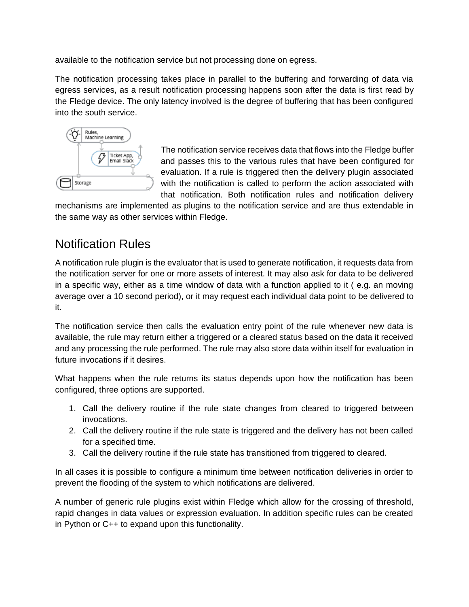available to the notification service but not processing done on egress.

The notification processing takes place in parallel to the buffering and forwarding of data via egress services, as a result notification processing happens soon after the data is first read by the Fledge device. The only latency involved is the degree of buffering that has been configured into the south service.



The notification service receives data that flows into the Fledge buffer and passes this to the various rules that have been configured for evaluation. If a rule is triggered then the delivery plugin associated with the notification is called to perform the action associated with that notification. Both notification rules and notification delivery

mechanisms are implemented as plugins to the notification service and are thus extendable in the same way as other services within Fledge.

### Notification Rules

A notification rule plugin is the evaluator that is used to generate notification, it requests data from the notification server for one or more assets of interest. It may also ask for data to be delivered in a specific way, either as a time window of data with a function applied to it ( e.g. an moving average over a 10 second period), or it may request each individual data point to be delivered to it.

The notification service then calls the evaluation entry point of the rule whenever new data is available, the rule may return either a triggered or a cleared status based on the data it received and any processing the rule performed. The rule may also store data within itself for evaluation in future invocations if it desires.

What happens when the rule returns its status depends upon how the notification has been configured, three options are supported.

- 1. Call the delivery routine if the rule state changes from cleared to triggered between invocations.
- 2. Call the delivery routine if the rule state is triggered and the delivery has not been called for a specified time.
- 3. Call the delivery routine if the rule state has transitioned from triggered to cleared.

In all cases it is possible to configure a minimum time between notification deliveries in order to prevent the flooding of the system to which notifications are delivered.

A number of generic rule plugins exist within Fledge which allow for the crossing of threshold, rapid changes in data values or expression evaluation. In addition specific rules can be created in Python or C++ to expand upon this functionality.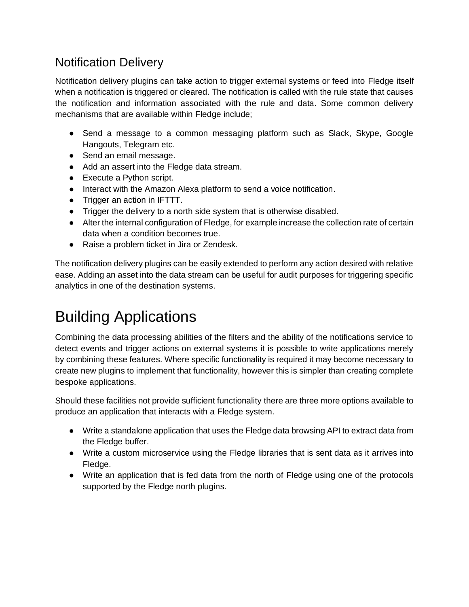### Notification Delivery

Notification delivery plugins can take action to trigger external systems or feed into Fledge itself when a notification is triggered or cleared. The notification is called with the rule state that causes the notification and information associated with the rule and data. Some common delivery mechanisms that are available within Fledge include;

- Send a message to a common messaging platform such as Slack, Skype, Google Hangouts, Telegram etc.
- Send an email message.
- Add an assert into the Fledge data stream.
- Execute a Python script.
- Interact with the Amazon Alexa platform to send a voice notification.
- Trigger an action in IFTTT.
- Trigger the delivery to a north side system that is otherwise disabled.
- Alter the internal configuration of Fledge, for example increase the collection rate of certain data when a condition becomes true.
- Raise a problem ticket in Jira or Zendesk.

The notification delivery plugins can be easily extended to perform any action desired with relative ease. Adding an asset into the data stream can be useful for audit purposes for triggering specific analytics in one of the destination systems.

# Building Applications

Combining the data processing abilities of the filters and the ability of the notifications service to detect events and trigger actions on external systems it is possible to write applications merely by combining these features. Where specific functionality is required it may become necessary to create new plugins to implement that functionality, however this is simpler than creating complete bespoke applications.

Should these facilities not provide sufficient functionality there are three more options available to produce an application that interacts with a Fledge system.

- Write a standalone application that uses the Fledge data browsing API to extract data from the Fledge buffer.
- Write a custom microservice using the Fledge libraries that is sent data as it arrives into Fledge.
- Write an application that is fed data from the north of Fledge using one of the protocols supported by the Fledge north plugins.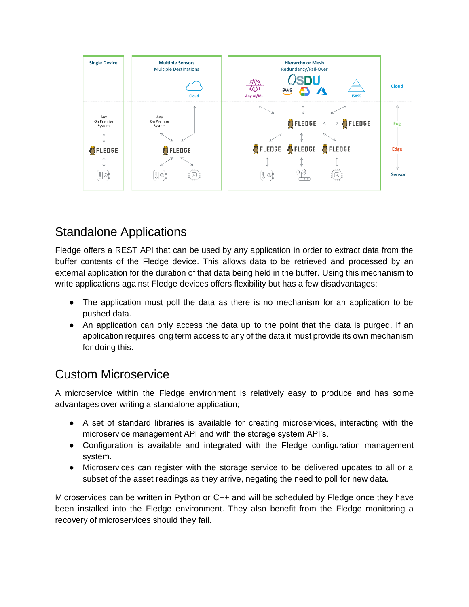

### Standalone Applications

Fledge offers a REST API that can be used by any application in order to extract data from the buffer contents of the Fledge device. This allows data to be retrieved and processed by an external application for the duration of that data being held in the buffer. Using this mechanism to write applications against Fledge devices offers flexibility but has a few disadvantages;

- The application must poll the data as there is no mechanism for an application to be pushed data.
- An application can only access the data up to the point that the data is purged. If an application requires long term access to any of the data it must provide its own mechanism for doing this.

### Custom Microservice

A microservice within the Fledge environment is relatively easy to produce and has some advantages over writing a standalone application;

- A set of standard libraries is available for creating microservices, interacting with the microservice management API and with the storage system API's.
- Configuration is available and integrated with the Fledge configuration management system.
- Microservices can register with the storage service to be delivered updates to all or a subset of the asset readings as they arrive, negating the need to poll for new data.

Microservices can be written in Python or C++ and will be scheduled by Fledge once they have been installed into the Fledge environment. They also benefit from the Fledge monitoring a recovery of microservices should they fail.